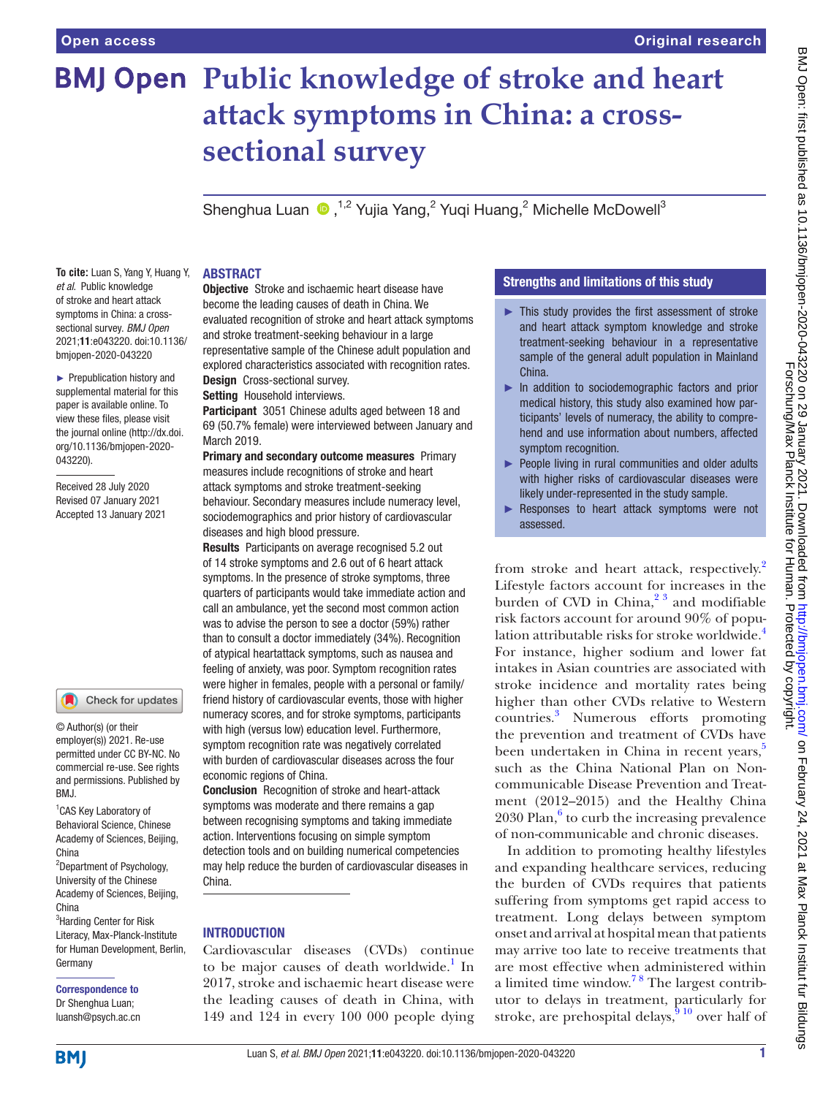# **BMJ Open Public knowledge of stroke and heart attack symptoms in China: a crosssectional survey**

Shenghua Luan (D, <sup>1,2</sup> Yujia Yang,<sup>2</sup> Yuqi Huang,<sup>2</sup> Michelle McDowell<sup>3</sup>

**To cite:** Luan S, Yang Y, Huang Y, *et al*. Public knowledge of stroke and heart attack symptoms in China: a crosssectional survey. *BMJ Open* 2021;11:e043220. doi:10.1136/ bmjopen-2020-043220

► Prepublication history and supplemental material for this paper is available online. To view these files, please visit the journal online (http://dx.doi. org/10.1136/bmjopen-2020- 043220).

Received 28 July 2020 Revised 07 January 2021 Accepted 13 January 2021

#### Check for updates

© Author(s) (or their employer(s)) 2021. Re-use permitted under CC BY-NC. No commercial re-use. See rights and permissions. Published by BMJ.

<sup>1</sup> CAS Key Laboratory of Behavioral Science, Chinese Academy of Sciences, Beijing, China

<sup>2</sup>Department of Psychology, University of the Chinese Academy of Sciences, Beijing, China <sup>3</sup>Harding Center for Risk

Literacy, Max-Planck-Institute for Human Development, Berlin, Germany

# Correspondence to

Dr Shenghua Luan; luansh@psych.ac.cn

#### ABSTRACT

**Objective** Stroke and ischaemic heart disease have become the leading causes of death in China. We evaluated recognition of stroke and heart attack symptoms and stroke treatment-seeking behaviour in a large representative sample of the Chinese adult population and explored characteristics associated with recognition rates. Design Cross-sectional survey.

Setting Household interviews.

Participant 3051 Chinese adults aged between 18 and 69 (50.7% female) were interviewed between January and March 2019.

Primary and secondary outcome measures Primary measures include recognitions of stroke and heart attack symptoms and stroke treatment-seeking behaviour. Secondary measures include numeracy level, sociodemographics and prior history of cardiovascular diseases and high blood pressure.

Results Participants on average recognised 5.2 out of 14 stroke symptoms and 2.6 out of 6 heart attack symptoms. In the presence of stroke symptoms, three quarters of participants would take immediate action and call an ambulance, yet the second most common action was to advise the person to see a doctor (59%) rather than to consult a doctor immediately (34%). Recognition of atypical heartattack symptoms, such as nausea and feeling of anxiety, was poor. Symptom recognition rates were higher in females, people with a personal or family/ friend history of cardiovascular events, those with higher numeracy scores, and for stroke symptoms, participants with high (versus low) education level. Furthermore, symptom recognition rate was negatively correlated with burden of cardiovascular diseases across the four economic regions of China.

Conclusion Recognition of stroke and heart-attack symptoms was moderate and there remains a gap between recognising symptoms and taking immediate action. Interventions focusing on simple symptom detection tools and on building numerical competencies may help reduce the burden of cardiovascular diseases in China.

# INTRODUCTION

Cardiovascular diseases (CVDs) continue to be major causes of death worldwide.<sup>[1](#page-7-0)</sup> In 2017, stroke and ischaemic heart disease were the leading causes of death in China, with 149 and 124 in every 100 000 people dying

# Strengths and limitations of this study

- ► This study provides the first assessment of stroke and heart attack symptom knowledge and stroke treatment-seeking behaviour in a representative sample of the general adult population in Mainland China.
- ► In addition to sociodemographic factors and prior medical history, this study also examined how participants' levels of numeracy, the ability to comprehend and use information about numbers, affected symptom recognition.
- ► People living in rural communities and older adults with higher risks of cardiovascular diseases were likely under-represented in the study sample.
- ► Responses to heart attack symptoms were not assessed.

from stroke and heart attack, respectively.<sup>[2](#page-7-1)</sup> Lifestyle factors account for increases in the burden of CVD in China, $2^3$  and modifiable risk factors account for around 90% of population attributable risks for stroke worldwide[.4](#page-7-2) For instance, higher sodium and lower fat intakes in Asian countries are associated with stroke incidence and mortality rates being higher than other CVDs relative to Western countries.[3](#page-7-3) Numerous efforts promoting the prevention and treatment of CVDs have been undertaken in China in recent years,<sup>5</sup> such as the China National Plan on Noncommunicable Disease Prevention and Treatment (2012–2015) and the Healthy China  $2030$  Plan, $6$  to curb the increasing prevalence of non-communicable and chronic diseases.

In addition to promoting healthy lifestyles and expanding healthcare services, reducing the burden of CVDs requires that patients suffering from symptoms get rapid access to treatment. Long delays between symptom onset and arrival at hospital mean that patients may arrive too late to receive treatments that are most effective when administered within a limited time window[.7 8](#page-7-6) The largest contributor to delays in treatment, particularly for stroke, are prehospital delays,  $\frac{1}{9}$  over half of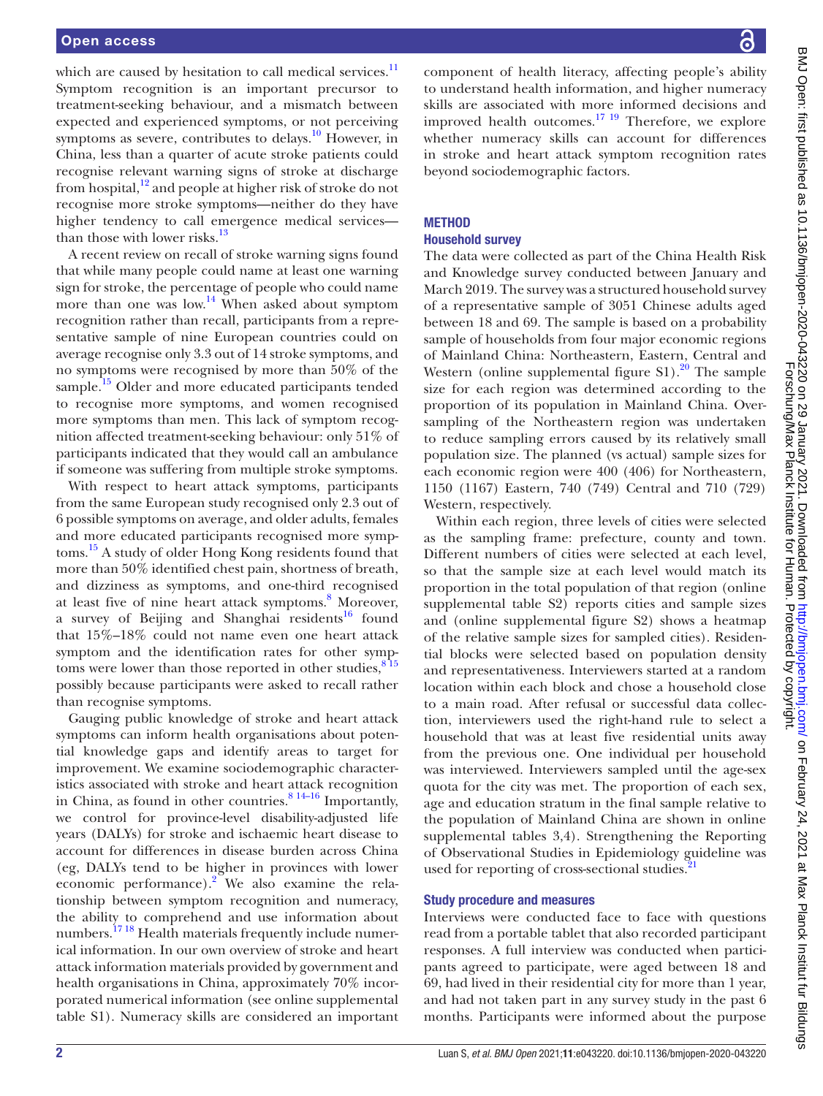which are caused by hesitation to call medical services.<sup>[11](#page-7-8)</sup> Symptom recognition is an important precursor to treatment-seeking behaviour, and a mismatch between expected and experienced symptoms, or not perceiving symptoms as severe, contributes to delays.<sup>10</sup> However, in China, less than a quarter of acute stroke patients could recognise relevant warning signs of stroke at discharge from hospital, $12$  and people at higher risk of stroke do not recognise more stroke symptoms—neither do they have higher tendency to call emergence medical services than those with lower risks.<sup>13</sup>

A recent review on recall of stroke warning signs found that while many people could name at least one warning sign for stroke, the percentage of people who could name more than one was low.<sup>14</sup> When asked about symptom recognition rather than recall, participants from a representative sample of nine European countries could on average recognise only 3.3 out of 14 stroke symptoms, and no symptoms were recognised by more than 50% of the sample.<sup>15</sup> Older and more educated participants tended to recognise more symptoms, and women recognised more symptoms than men. This lack of symptom recognition affected treatment-seeking behaviour: only 51% of participants indicated that they would call an ambulance if someone was suffering from multiple stroke symptoms.

With respect to heart attack symptoms, participants from the same European study recognised only 2.3 out of 6 possible symptoms on average, and older adults, females and more educated participants recognised more symptoms.<sup>15</sup> A study of older Hong Kong residents found that more than 50% identified chest pain, shortness of breath, and dizziness as symptoms, and one-third recognised at least five of nine heart attack symptoms.<sup>[8](#page-7-14)</sup> Moreover, a survey of Beijing and Shanghai residents<sup>16</sup> found that 15%–18% could not name even one heart attack symptom and the identification rates for other symptoms were lower than those reported in other studies,  $8^{15}$ possibly because participants were asked to recall rather than recognise symptoms.

Gauging public knowledge of stroke and heart attack symptoms can inform health organisations about potential knowledge gaps and identify areas to target for improvement. We examine sociodemographic characteristics associated with stroke and heart attack recognition in China, as found in other countries. $8^{14-16}$  Importantly, we control for province-level disability-adjusted life years (DALYs) for stroke and ischaemic heart disease to account for differences in disease burden across China (eg, DALYs tend to be higher in provinces with lower economic performance). $2^{\degree}$  We also examine the relationship between symptom recognition and numeracy, the ability to comprehend and use information about numbers.<sup>1718</sup> Health materials frequently include numerical information. In our own overview of stroke and heart attack information materials provided by government and health organisations in China, approximately 70% incorporated numerical information (see [online supplemental](https://dx.doi.org/10.1136/bmjopen-2020-043220) [table S1](https://dx.doi.org/10.1136/bmjopen-2020-043220)). Numeracy skills are considered an important

component of health literacy, affecting people's ability to understand health information, and higher numeracy skills are associated with more informed decisions and improved health outcomes. $17 \frac{19}{19}$  Therefore, we explore whether numeracy skills can account for differences in stroke and heart attack symptom recognition rates beyond sociodemographic factors.

# **METHOD**

#### Household survey

The data were collected as part of the China Health Risk and Knowledge survey conducted between January and March 2019. The survey was a structured household survey of a representative sample of 3051 Chinese adults aged between 18 and 69. The sample is based on a probability sample of households from four major economic regions of Mainland China: Northeastern, Eastern, Central and Western (online supplemental figure  $S1$ ).<sup>20</sup> The sample size for each region was determined according to the proportion of its population in Mainland China. Oversampling of the Northeastern region was undertaken to reduce sampling errors caused by its relatively small population size. The planned (vs actual) sample sizes for each economic region were 400 (406) for Northeastern, 1150 (1167) Eastern, 740 (749) Central and 710 (729) Western, respectively.

Within each region, three levels of cities were selected as the sampling frame: prefecture, county and town. Different numbers of cities were selected at each level, so that the sample size at each level would match its proportion in the total population of that region ([online](https://dx.doi.org/10.1136/bmjopen-2020-043220)  [supplemental table S2](https://dx.doi.org/10.1136/bmjopen-2020-043220)) reports cities and sample sizes and [\(online supplemental figure S2](https://dx.doi.org/10.1136/bmjopen-2020-043220)) shows a heatmap of the relative sample sizes for sampled cities). Residential blocks were selected based on population density and representativeness. Interviewers started at a random location within each block and chose a household close to a main road. After refusal or successful data collection, interviewers used the right-hand rule to select a household that was at least five residential units away from the previous one. One individual per household was interviewed. Interviewers sampled until the age-sex quota for the city was met. The proportion of each sex, age and education stratum in the final sample relative to the population of Mainland China are shown in [online](https://dx.doi.org/10.1136/bmjopen-2020-043220)  [supplemental tables 3,4](https://dx.doi.org/10.1136/bmjopen-2020-043220)). Strengthening the Reporting of Observational Studies in Epidemiology guideline was used for reporting of cross-sectional studies.<sup>2</sup>

# Study procedure and measures

Interviews were conducted face to face with questions read from a portable tablet that also recorded participant responses. A full interview was conducted when participants agreed to participate, were aged between 18 and 69, had lived in their residential city for more than 1 year, and had not taken part in any survey study in the past 6 months. Participants were informed about the purpose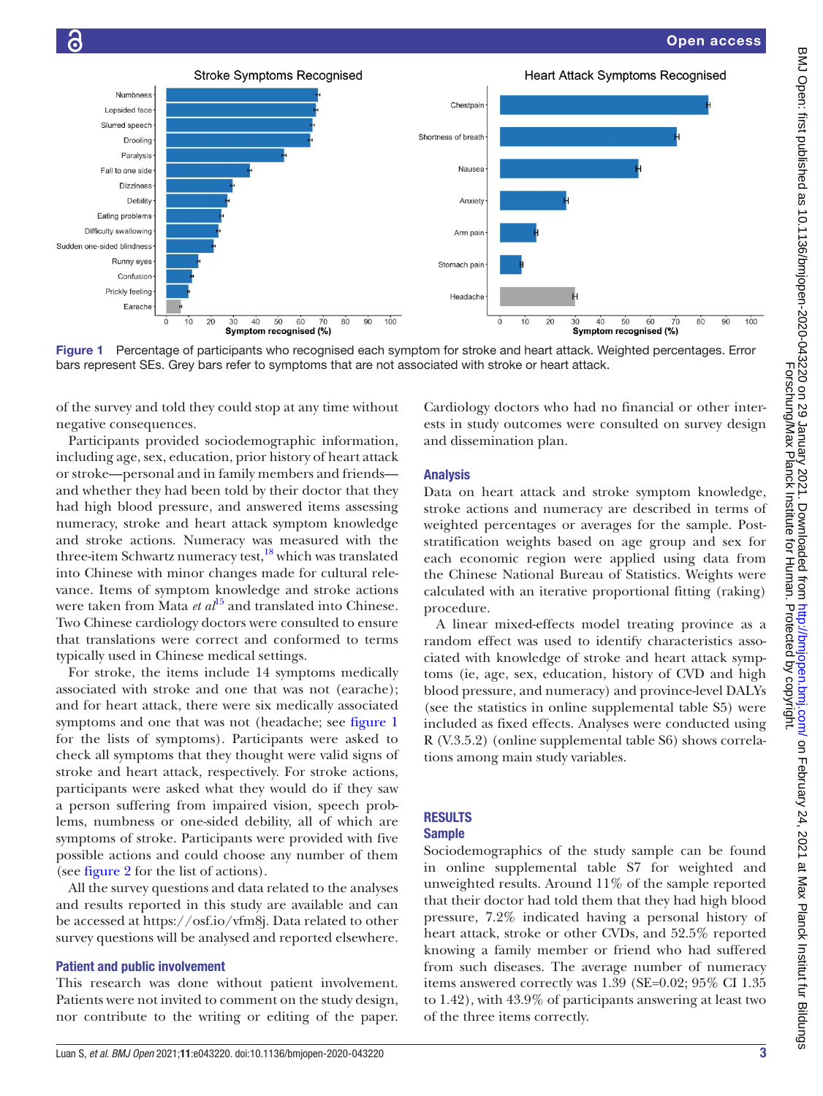

<span id="page-2-0"></span>Figure 1 Percentage of participants who recognised each symptom for stroke and heart attack. Weighted percentages. Error bars represent SEs. Grey bars refer to symptoms that are not associated with stroke or heart attack.

of the survey and told they could stop at any time without negative consequences.

Participants provided sociodemographic information, including age, sex, education, prior history of heart attack or stroke—personal and in family members and friends and whether they had been told by their doctor that they had high blood pressure, and answered items assessing numeracy, stroke and heart attack symptom knowledge and stroke actions. Numeracy was measured with the three-item Schwartz numeracy test,<sup>18</sup> which was translated into Chinese with minor changes made for cultural relevance. Items of symptom knowledge and stroke actions were taken from Mata *et al*<sup>[15](#page-7-13)</sup> and translated into Chinese. Two Chinese cardiology doctors were consulted to ensure that translations were correct and conformed to terms typically used in Chinese medical settings.

For stroke, the items include 14 symptoms medically associated with stroke and one that was not (earache); and for heart attack, there were six medically associated symptoms and one that was not (headache; see [figure](#page-2-0) 1 for the lists of symptoms). Participants were asked to check all symptoms that they thought were valid signs of stroke and heart attack, respectively. For stroke actions, participants were asked what they would do if they saw a person suffering from impaired vision, speech problems, numbness or one-sided debility, all of which are symptoms of stroke. Participants were provided with five possible actions and could choose any number of them (see [figure](#page-3-0) 2 for the list of actions).

All the survey questions and data related to the analyses and results reported in this study are available and can be accessed at [https://osf.io/vfm8j.](https://osf.io/vfm8j/) Data related to other survey questions will be analysed and reported elsewhere.

#### Patient and public involvement

This research was done without patient involvement. Patients were not invited to comment on the study design, nor contribute to the writing or editing of the paper.

Cardiology doctors who had no financial or other interests in study outcomes were consulted on survey design and dissemination plan.

#### Analysis

Data on heart attack and stroke symptom knowledge, stroke actions and numeracy are described in terms of weighted percentages or averages for the sample. Poststratification weights based on age group and sex for each economic region were applied using data from the Chinese National Bureau of Statistics. Weights were calculated with an iterative proportional fitting (raking) procedure.

A linear mixed-effects model treating province as a random effect was used to identify characteristics associated with knowledge of stroke and heart attack symptoms (ie, age, sex, education, history of CVD and high blood pressure, and numeracy) and province-level DALYs (see the statistics in [online supplemental table S5\)](https://dx.doi.org/10.1136/bmjopen-2020-043220) were included as fixed effects. Analyses were conducted using R (V.3.5.2) [\(online supplemental table S6](https://dx.doi.org/10.1136/bmjopen-2020-043220)) shows correlations among main study variables.

# **RESULTS**

# Sample

Sociodemographics of the study sample can be found in [online supplemental table S7](https://dx.doi.org/10.1136/bmjopen-2020-043220) for weighted and unweighted results. Around 11% of the sample reported that their doctor had told them that they had high blood pressure, 7.2% indicated having a personal history of heart attack, stroke or other CVDs, and 52.5% reported knowing a family member or friend who had suffered from such diseases. The average number of numeracy items answered correctly was 1.39 (SE=0.02; 95% CI 1.35 to 1.42), with 43.9% of participants answering at least two of the three items correctly.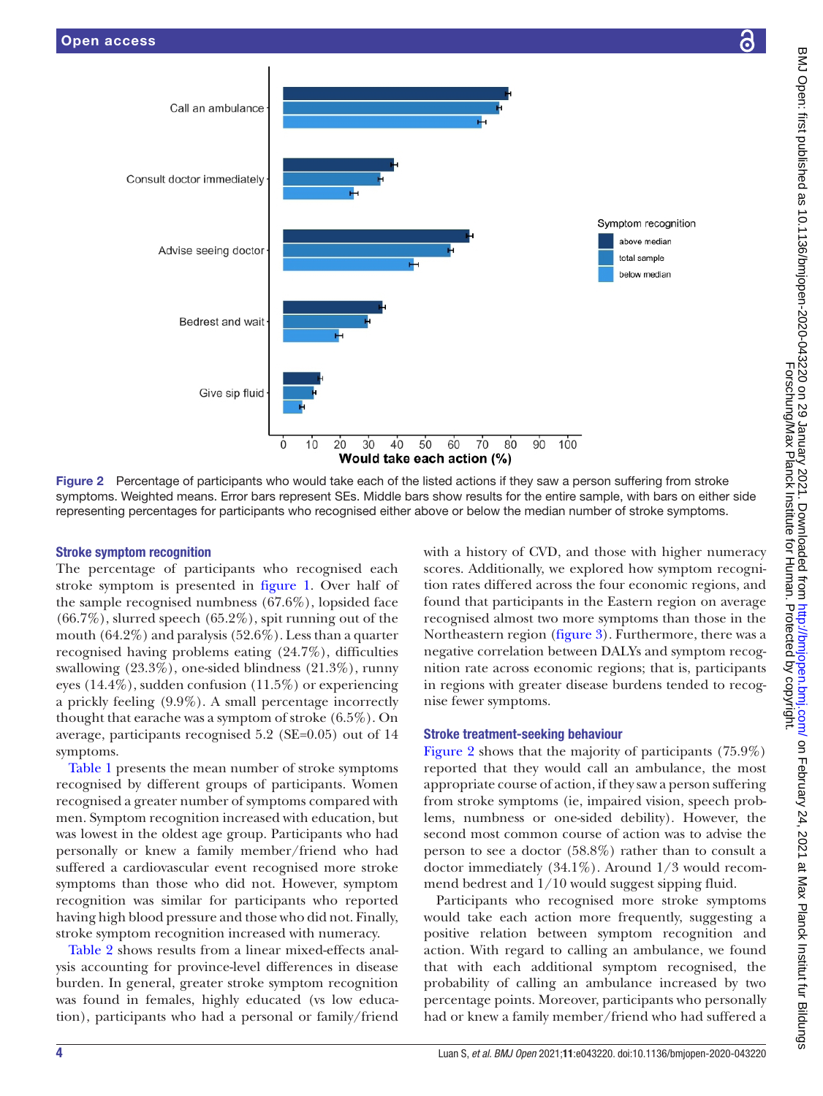



<span id="page-3-0"></span>Figure 2 Percentage of participants who would take each of the listed actions if they saw a person suffering from stroke symptoms. Weighted means. Error bars represent SEs. Middle bars show results for the entire sample, with bars on either side representing percentages for participants who recognised either above or below the median number of stroke symptoms.

# Stroke symptom recognition

The percentage of participants who recognised each stroke symptom is presented in [figure](#page-2-0) 1. Over half of the sample recognised numbness (67.6%), lopsided face  $(66.7\%)$ , slurred speech  $(65.2\%)$ , spit running out of the mouth (64.2%) and paralysis (52.6%). Less than a quarter recognised having problems eating (24.7%), difficulties swallowing (23.3%), one-sided blindness (21.3%), runny eyes (14.4%), sudden confusion (11.5%) or experiencing a prickly feeling (9.9%). A small percentage incorrectly thought that earache was a symptom of stroke (6.5%). On average, participants recognised 5.2 (SE=0.05) out of 14 symptoms.

[Table](#page-4-0) 1 presents the mean number of stroke symptoms recognised by different groups of participants. Women recognised a greater number of symptoms compared with men. Symptom recognition increased with education, but was lowest in the oldest age group. Participants who had personally or knew a family member/friend who had suffered a cardiovascular event recognised more stroke symptoms than those who did not. However, symptom recognition was similar for participants who reported having high blood pressure and those who did not. Finally, stroke symptom recognition increased with numeracy.

[Table](#page-5-0) 2 shows results from a linear mixed-effects analysis accounting for province-level differences in disease burden. In general, greater stroke symptom recognition was found in females, highly educated (vs low education), participants who had a personal or family/friend

with a history of CVD, and those with higher numeracy scores. Additionally, we explored how symptom recognition rates differed across the four economic regions, and found that participants in the Eastern region on average recognised almost two more symptoms than those in the Northeastern region ([figure](#page-5-1) 3). Furthermore, there was a negative correlation between DALYs and symptom recognition rate across economic regions; that is, participants in regions with greater disease burdens tended to recognise fewer symptoms.

# Stroke treatment-seeking behaviour

[Figure](#page-3-0) 2 shows that the majority of participants (75.9%) reported that they would call an ambulance, the most appropriate course of action, if they saw a person suffering from stroke symptoms (ie, impaired vision, speech problems, numbness or one-sided debility). However, the second most common course of action was to advise the person to see a doctor (58.8%) rather than to consult a doctor immediately (34.1%). Around 1/3 would recommend bedrest and 1/10 would suggest sipping fluid.

Participants who recognised more stroke symptoms would take each action more frequently, suggesting a positive relation between symptom recognition and action. With regard to calling an ambulance, we found that with each additional symptom recognised, the probability of calling an ambulance increased by two percentage points. Moreover, participants who personally had or knew a family member/friend who had suffered a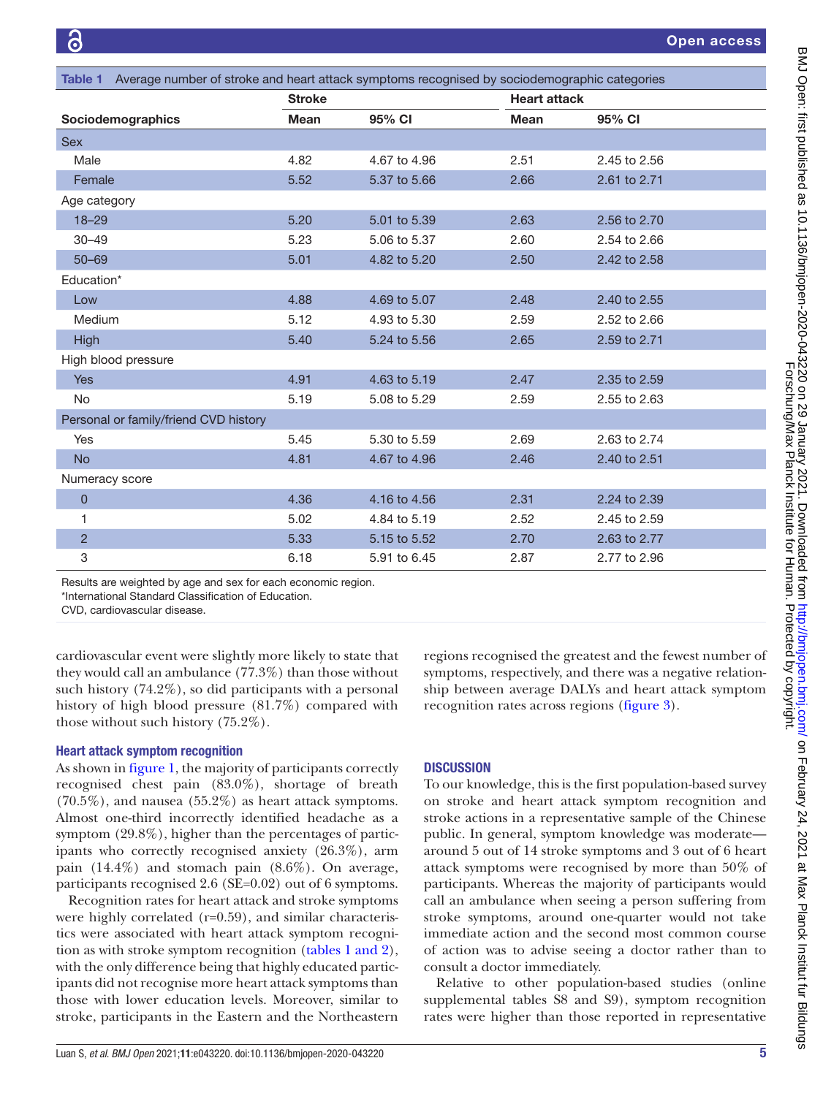<span id="page-4-0"></span>

| Table 1 Average number of stroke and heart attack symptoms recognised by sociodemographic categories |               |              |                     |              |  |  |  |
|------------------------------------------------------------------------------------------------------|---------------|--------------|---------------------|--------------|--|--|--|
|                                                                                                      | <b>Stroke</b> |              | <b>Heart attack</b> |              |  |  |  |
| Sociodemographics                                                                                    | <b>Mean</b>   | 95% CI       | <b>Mean</b>         | 95% CI       |  |  |  |
| <b>Sex</b>                                                                                           |               |              |                     |              |  |  |  |
| Male                                                                                                 | 4.82          | 4.67 to 4.96 | 2.51                | 2.45 to 2.56 |  |  |  |
| Female                                                                                               | 5.52          | 5.37 to 5.66 | 2.66                | 2.61 to 2.71 |  |  |  |
| Age category                                                                                         |               |              |                     |              |  |  |  |
| $18 - 29$                                                                                            | 5.20          | 5.01 to 5.39 | 2.63                | 2.56 to 2.70 |  |  |  |
| $30 - 49$                                                                                            | 5.23          | 5.06 to 5.37 | 2.60                | 2.54 to 2.66 |  |  |  |
| $50 - 69$                                                                                            | 5.01          | 4.82 to 5.20 | 2.50                | 2.42 to 2.58 |  |  |  |
| Education*                                                                                           |               |              |                     |              |  |  |  |
| Low                                                                                                  | 4.88          | 4.69 to 5.07 | 2.48                | 2.40 to 2.55 |  |  |  |
| Medium                                                                                               | 5.12          | 4.93 to 5.30 | 2.59                | 2.52 to 2.66 |  |  |  |
| High                                                                                                 | 5.40          | 5.24 to 5.56 | 2.65                | 2.59 to 2.71 |  |  |  |
| High blood pressure                                                                                  |               |              |                     |              |  |  |  |
| <b>Yes</b>                                                                                           | 4.91          | 4.63 to 5.19 | 2.47                | 2.35 to 2.59 |  |  |  |
| <b>No</b>                                                                                            | 5.19          | 5.08 to 5.29 | 2.59                | 2.55 to 2.63 |  |  |  |
| Personal or family/friend CVD history                                                                |               |              |                     |              |  |  |  |
| <b>Yes</b>                                                                                           | 5.45          | 5.30 to 5.59 | 2.69                | 2.63 to 2.74 |  |  |  |
| <b>No</b>                                                                                            | 4.81          | 4.67 to 4.96 | 2.46                | 2.40 to 2.51 |  |  |  |
| Numeracy score                                                                                       |               |              |                     |              |  |  |  |
| $\overline{0}$                                                                                       | 4.36          | 4.16 to 4.56 | 2.31                | 2.24 to 2.39 |  |  |  |
| 1                                                                                                    | 5.02          | 4.84 to 5.19 | 2.52                | 2.45 to 2.59 |  |  |  |
| $\overline{c}$                                                                                       | 5.33          | 5.15 to 5.52 | 2.70                | 2.63 to 2.77 |  |  |  |
| 3                                                                                                    | 6.18          | 5.91 to 6.45 | 2.87                | 2.77 to 2.96 |  |  |  |

Results are weighted by age and sex for each economic region.

\*International Standard Classification of Education. CVD, cardiovascular disease.

cardiovascular event were slightly more likely to state that they would call an ambulance (77.3%) than those without such history (74.2%), so did participants with a personal history of high blood pressure (81.7%) compared with

# Heart attack symptom recognition

those without such history (75.2%).

As shown in [figure](#page-2-0) 1, the majority of participants correctly recognised chest pain (83.0%), shortage of breath (70.5%), and nausea (55.2%) as heart attack symptoms. Almost one-third incorrectly identified headache as a symptom (29.8%), higher than the percentages of participants who correctly recognised anxiety (26.3%), arm pain (14.4%) and stomach pain (8.6%). On average, participants recognised 2.6 (SE=0.02) out of 6 symptoms.

Recognition rates for heart attack and stroke symptoms were highly correlated (r=0.59), and similar characteristics were associated with heart attack symptom recognition as with stroke symptom recognition (tables [1 and 2](#page-4-0)), with the only difference being that highly educated participants did not recognise more heart attack symptoms than those with lower education levels. Moreover, similar to stroke, participants in the Eastern and the Northeastern

regions recognised the greatest and the fewest number of symptoms, respectively, and there was a negative relationship between average DALYs and heart attack symptom recognition rates across regions [\(figure](#page-5-1) 3).

# **DISCUSSION**

To our knowledge, this is the first population-based survey on stroke and heart attack symptom recognition and stroke actions in a representative sample of the Chinese public. In general, symptom knowledge was moderate around 5 out of 14 stroke symptoms and 3 out of 6 heart attack symptoms were recognised by more than 50% of participants. Whereas the majority of participants would call an ambulance when seeing a person suffering from stroke symptoms, around one-quarter would not take immediate action and the second most common course of action was to advise seeing a doctor rather than to consult a doctor immediately.

Relative to other population-based studies ([online](https://dx.doi.org/10.1136/bmjopen-2020-043220)  [supplemental tables S8 and S9\)](https://dx.doi.org/10.1136/bmjopen-2020-043220), symptom recognition rates were higher than those reported in representative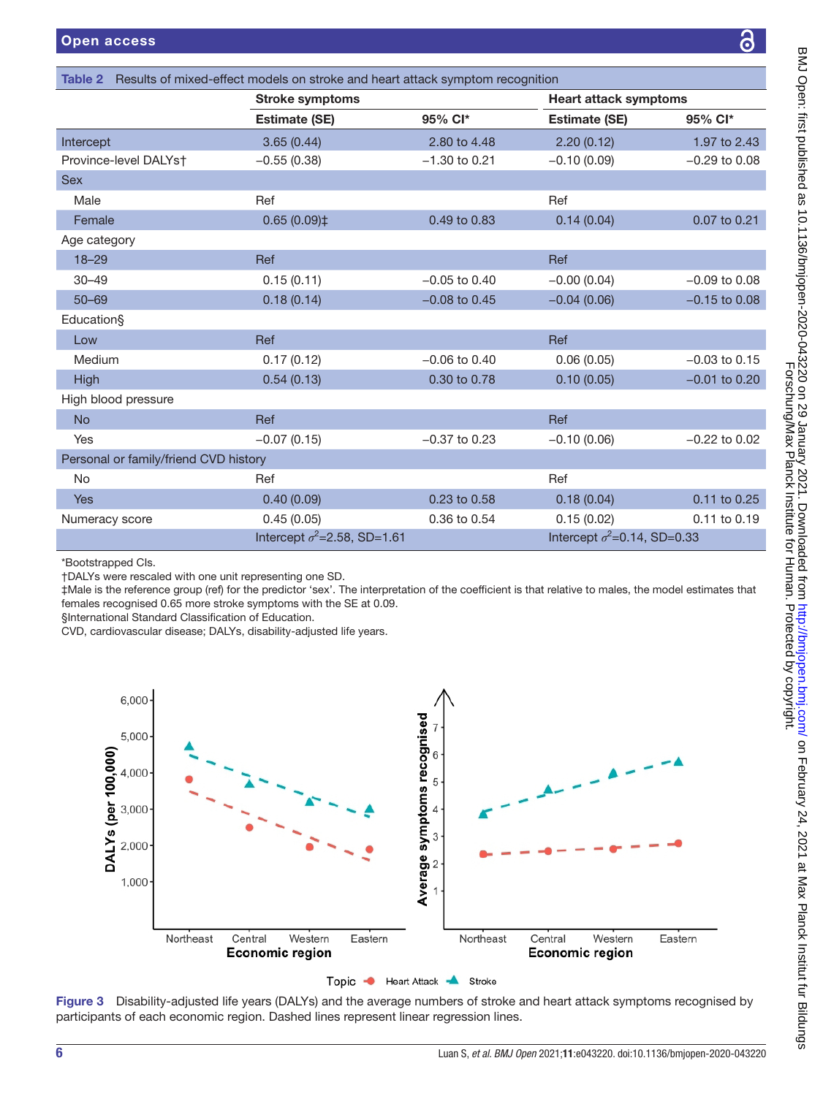|                                       | <b>Stroke symptoms</b>              |                   | <b>Heart attack symptoms</b>        |                   |  |
|---------------------------------------|-------------------------------------|-------------------|-------------------------------------|-------------------|--|
|                                       | <b>Estimate (SE)</b>                | 95% Cl*           | <b>Estimate (SE)</b>                | 95% Cl*           |  |
| Intercept                             | 3.65(0.44)                          | 2.80 to 4.48      | 2.20(0.12)                          | 1.97 to 2.43      |  |
| Province-level DALYst                 | $-0.55(0.38)$                       | $-1.30$ to 0.21   | $-0.10(0.09)$                       | $-0.29$ to 0.08   |  |
| <b>Sex</b>                            |                                     |                   |                                     |                   |  |
| Male                                  | Ref                                 |                   | Ref                                 |                   |  |
| Female                                | $0.65(0.09)$ ‡                      | 0.49 to 0.83      | 0.14(0.04)                          | 0.07 to 0.21      |  |
| Age category                          |                                     |                   |                                     |                   |  |
| $18 - 29$                             | Ref                                 |                   | <b>Ref</b>                          |                   |  |
| $30 - 49$                             | 0.15(0.11)                          | $-0.05$ to $0.40$ | $-0.00(0.04)$                       | $-0.09$ to 0.08   |  |
| $50 - 69$                             | 0.18(0.14)                          | $-0.08$ to 0.45   | $-0.04(0.06)$                       | $-0.15$ to 0.08   |  |
| Education§                            |                                     |                   |                                     |                   |  |
| Low                                   | Ref                                 |                   | Ref                                 |                   |  |
| Medium                                | 0.17(0.12)                          | $-0.06$ to $0.40$ | 0.06(0.05)                          | $-0.03$ to 0.15   |  |
| High                                  | 0.54(0.13)                          | 0.30 to 0.78      | 0.10(0.05)                          | $-0.01$ to 0.20   |  |
| High blood pressure                   |                                     |                   |                                     |                   |  |
| <b>No</b>                             | Ref                                 |                   | Ref                                 |                   |  |
| Yes                                   | $-0.07(0.15)$                       | $-0.37$ to 0.23   | $-0.10(0.06)$                       | $-0.22$ to $0.02$ |  |
| Personal or family/friend CVD history |                                     |                   |                                     |                   |  |
| <b>No</b>                             | Ref                                 |                   | Ref                                 |                   |  |
| <b>Yes</b>                            | 0.40(0.09)                          | 0.23 to 0.58      | 0.18(0.04)                          | 0.11 to 0.25      |  |
| Numeracy score                        | 0.45(0.05)                          | 0.36 to 0.54      | 0.15(0.02)                          | 0.11 to 0.19      |  |
|                                       | Intercept $\sigma^2$ =2.58, SD=1.61 |                   | Intercept $\sigma^2$ =0.14, SD=0.33 |                   |  |
|                                       |                                     |                   |                                     |                   |  |

<span id="page-5-0"></span>Table 2 Results of mixed-effect models on stroke and heart attack symptom recognition

\*Bootstrapped CIs.

†DALYs were rescaled with one unit representing one SD.

‡Male is the reference group (ref) for the predictor 'sex'. The interpretation of the coefficient is that relative to males, the model estimates that females recognised 0.65 more stroke symptoms with the SE at 0.09.

§International Standard Classification of Education.

CVD, cardiovascular disease; DALYs, disability-adjusted life years.



<span id="page-5-1"></span>Figure 3 Disability-adjusted life years (DALYs) and the average numbers of stroke and heart attack symptoms recognised by participants of each economic region. Dashed lines represent linear regression lines.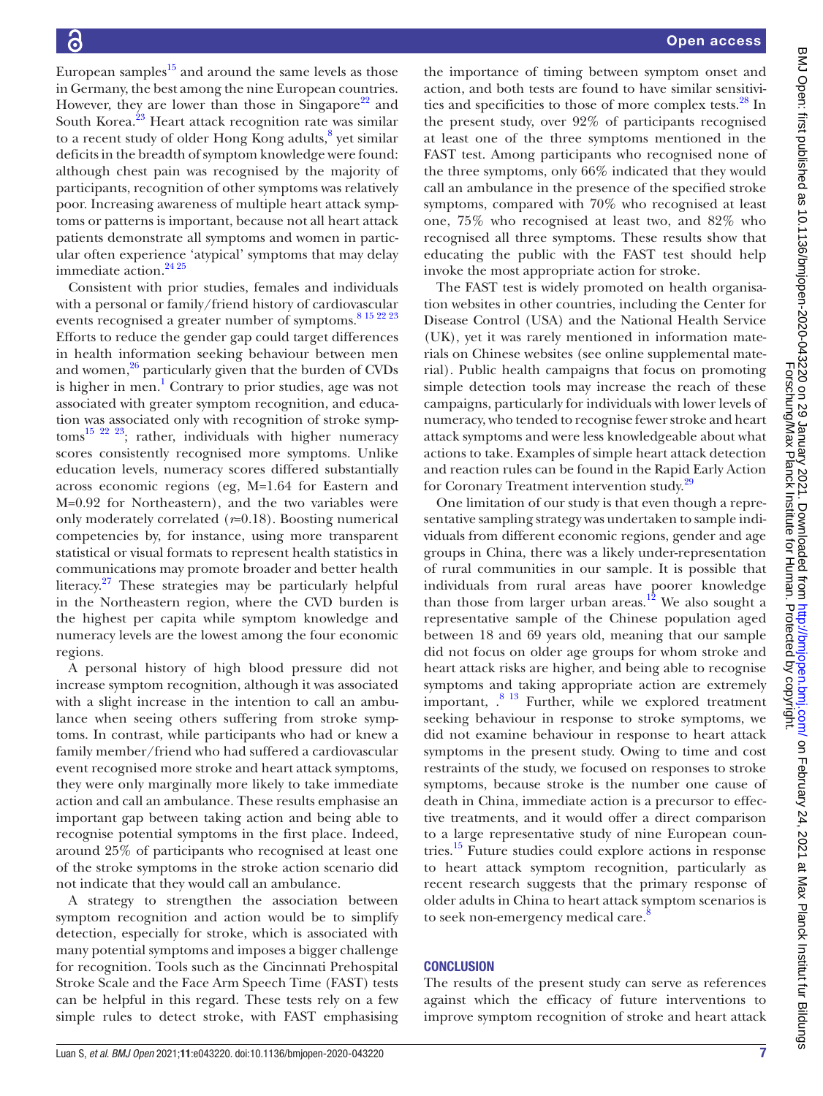European samples $^{15}$  and around the same levels as those in Germany, the best among the nine European countries. However, they are lower than those in Singapore<sup>22</sup> and South Korea.<sup>23</sup> Heart attack recognition rate was similar to a recent study of older Hong Kong adults,<sup>[8](#page-7-14)</sup> yet similar deficits in the breadth of symptom knowledge were found: although chest pain was recognised by the majority of participants, recognition of other symptoms was relatively poor. Increasing awareness of multiple heart attack symptoms or patterns is important, because not all heart attack patients demonstrate all symptoms and women in particular often experience 'atypical' symptoms that may delay immediate action.<sup>24 25</sup>

Consistent with prior studies, females and individuals with a personal or family/friend history of cardiovascular events recognised a greater number of symptoms.<sup>8 15 22 23</sup> Efforts to reduce the gender gap could target differences in health information seeking behaviour between men and women, $\frac{26}{9}$  particularly given that the burden of CVDs is higher in men.<sup>1</sup> Contrary to prior studies, age was not associated with greater symptom recognition, and education was associated only with recognition of stroke symptom[s15 22 23;](#page-7-13) rather, individuals with higher numeracy scores consistently recognised more symptoms. Unlike education levels, numeracy scores differed substantially across economic regions (eg, M=1.64 for Eastern and M=0.92 for Northeastern), and the two variables were only moderately correlated (*r*=0.18). Boosting numerical competencies by, for instance, using more transparent statistical or visual formats to represent health statistics in communications may promote broader and better health literacy. $27$  These strategies may be particularly helpful in the Northeastern region, where the CVD burden is the highest per capita while symptom knowledge and numeracy levels are the lowest among the four economic regions.

A personal history of high blood pressure did not increase symptom recognition, although it was associated with a slight increase in the intention to call an ambulance when seeing others suffering from stroke symptoms. In contrast, while participants who had or knew a family member/friend who had suffered a cardiovascular event recognised more stroke and heart attack symptoms, they were only marginally more likely to take immediate action and call an ambulance. These results emphasise an important gap between taking action and being able to recognise potential symptoms in the first place. Indeed, around 25% of participants who recognised at least one of the stroke symptoms in the stroke action scenario did not indicate that they would call an ambulance.

A strategy to strengthen the association between symptom recognition and action would be to simplify detection, especially for stroke, which is associated with many potential symptoms and imposes a bigger challenge for recognition. Tools such as the Cincinnati Prehospital Stroke Scale and the Face Arm Speech Time (FAST) tests can be helpful in this regard. These tests rely on a few simple rules to detect stroke, with FAST emphasising

the importance of timing between symptom onset and action, and both tests are found to have similar sensitivi-ties and specificities to those of more complex tests.<sup>[28](#page-7-25)</sup> In the present study, over 92% of participants recognised at least one of the three symptoms mentioned in the FAST test. Among participants who recognised none of the three symptoms, only 66% indicated that they would call an ambulance in the presence of the specified stroke symptoms, compared with 70% who recognised at least one, 75% who recognised at least two, and 82% who recognised all three symptoms. These results show that educating the public with the FAST test should help invoke the most appropriate action for stroke.

The FAST test is widely promoted on health organisation websites in other countries, including the Center for Disease Control (USA) and the National Health Service (UK), yet it was rarely mentioned in information materials on Chinese websites (see [online supplemental mate](https://dx.doi.org/10.1136/bmjopen-2020-043220)[rial](https://dx.doi.org/10.1136/bmjopen-2020-043220)). Public health campaigns that focus on promoting simple detection tools may increase the reach of these campaigns, particularly for individuals with lower levels of numeracy, who tended to recognise fewer stroke and heart attack symptoms and were less knowledgeable about what actions to take. Examples of simple heart attack detection and reaction rules can be found in the Rapid Early Action for Coronary Treatment intervention study.<sup>29</sup>

One limitation of our study is that even though a representative sampling strategy was undertaken to sample individuals from different economic regions, gender and age groups in China, there was a likely under-representation of rural communities in our sample. It is possible that individuals from rural areas have poorer knowledge than those from larger urban areas.<sup>12</sup> We also sought a representative sample of the Chinese population aged between 18 and 69 years old, meaning that our sample did not focus on older age groups for whom stroke and heart attack risks are higher, and being able to recognise symptoms and taking appropriate action are extremely important,  $.^8$  <sup>13</sup> Further, while we explored treatment seeking behaviour in response to stroke symptoms, we did not examine behaviour in response to heart attack symptoms in the present study. Owing to time and cost restraints of the study, we focused on responses to stroke symptoms, because stroke is the number one cause of death in China, immediate action is a precursor to effective treatments, and it would offer a direct comparison to a large representative study of nine European countries[.15](#page-7-13) Future studies could explore actions in response to heart attack symptom recognition, particularly as recent research suggests that the primary response of older adults in China to heart attack symptom scenarios is to seek non-emergency medical care.<sup>[8](#page-7-14)</sup>

# **CONCLUSION**

The results of the present study can serve as references against which the efficacy of future interventions to improve symptom recognition of stroke and heart attack